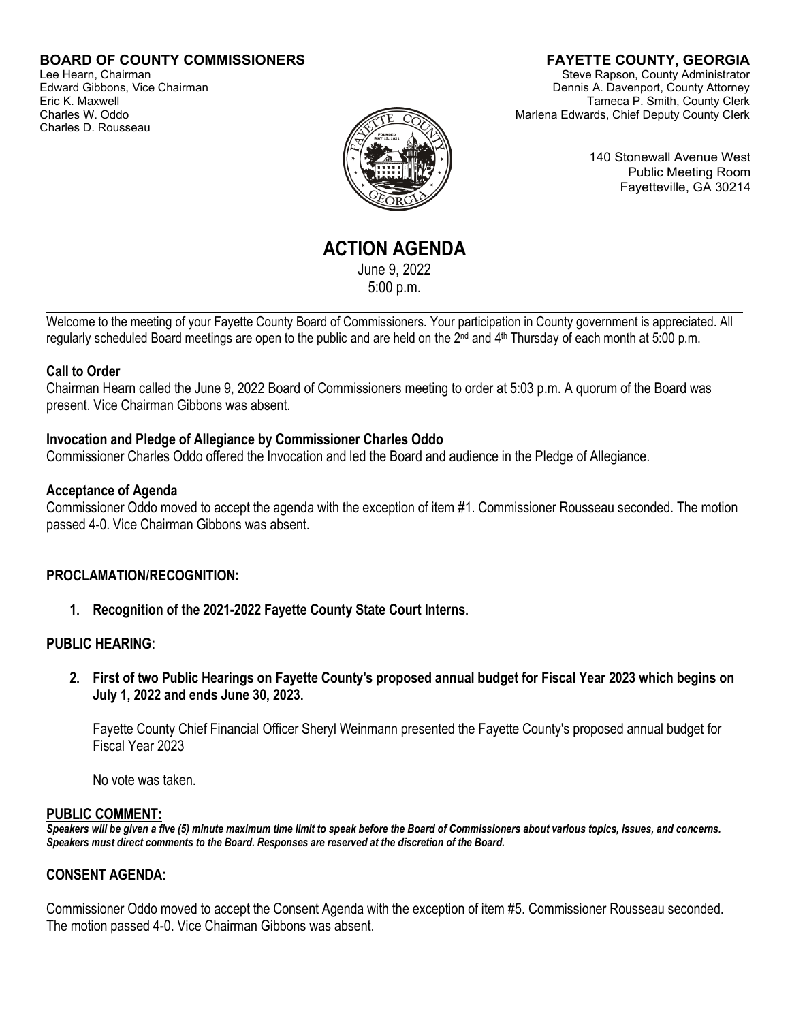### **BOARD OF COUNTY COMMISSIONERS**

Lee Hearn, Chairman Edward Gibbons, Vice Chairman Eric K. Maxwell Charles W. Oddo Charles D. Rousseau

# **FAYETTE COUNTY, GEORGIA**

Steve Rapson, County Administrator Dennis A. Davenport, County Attorney Tameca P. Smith, County Clerk Marlena Edwards, Chief Deputy County Clerk

140 Stonewall Avenue West Public Meeting Room Fayetteville, GA 30214

**ACTION AGENDA** June 9, 2022

5:00 p.m.

Welcome to the meeting of your Fayette County Board of Commissioners. Your participation in County government is appreciated. All regularly scheduled Board meetings are open to the public and are held on the 2<sup>nd</sup> and 4<sup>th</sup> Thursday of each month at 5:00 p.m.

#### **Call to Order**

l

Chairman Hearn called the June 9, 2022 Board of Commissioners meeting to order at 5:03 p.m. A quorum of the Board was present. Vice Chairman Gibbons was absent.

#### **Invocation and Pledge of Allegiance by Commissioner Charles Oddo**

Commissioner Charles Oddo offered the Invocation and led the Board and audience in the Pledge of Allegiance.

#### **Acceptance of Agenda**

Commissioner Oddo moved to accept the agenda with the exception of item #1. Commissioner Rousseau seconded. The motion passed 4-0. Vice Chairman Gibbons was absent.

#### **PROCLAMATION/RECOGNITION:**

**1. Recognition of the 2021-2022 Fayette County State Court Interns.**

#### **PUBLIC HEARING:**

**2. First of two Public Hearings on Fayette County's proposed annual budget for Fiscal Year 2023 which begins on July 1, 2022 and ends June 30, 2023.**

Fayette County Chief Financial Officer Sheryl Weinmann presented the Fayette County's proposed annual budget for Fiscal Year 2023

No vote was taken.

#### **PUBLIC COMMENT:**

*Speakers will be given a five (5) minute maximum time limit to speak before the Board of Commissioners about various topics, issues, and concerns. Speakers must direct comments to the Board. Responses are reserved at the discretion of the Board.*

#### **CONSENT AGENDA:**

Commissioner Oddo moved to accept the Consent Agenda with the exception of item #5. Commissioner Rousseau seconded. The motion passed 4-0. Vice Chairman Gibbons was absent.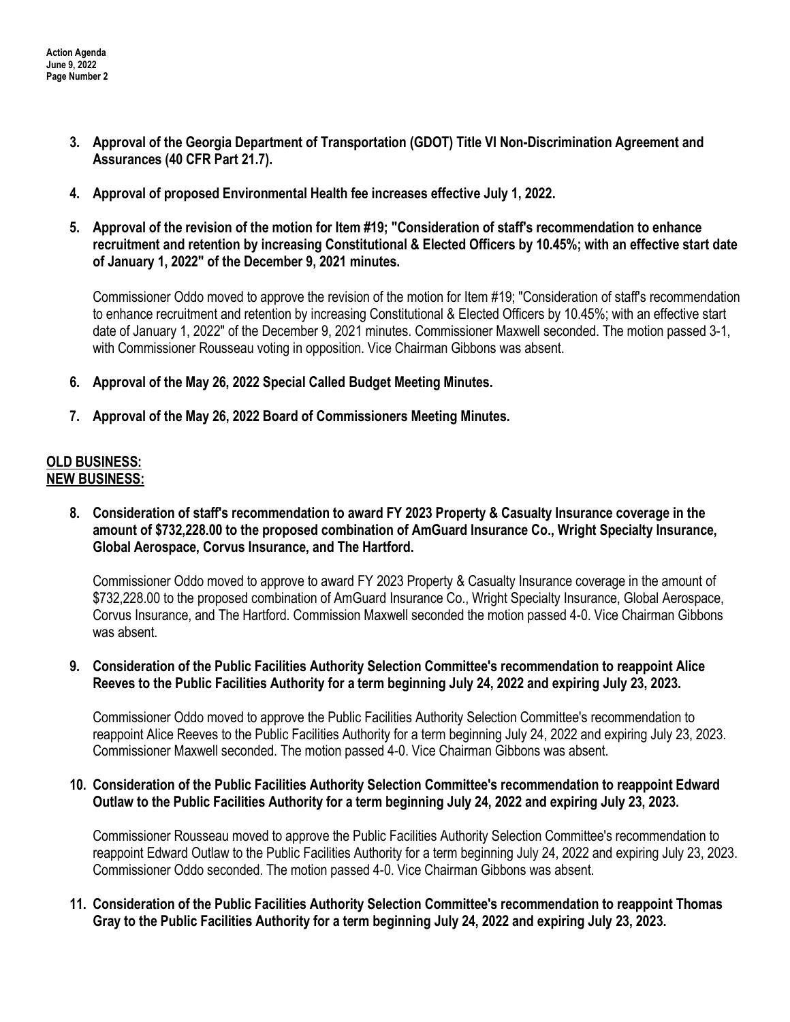- **3. Approval of the Georgia Department of Transportation (GDOT) Title VI Non-Discrimination Agreement and Assurances (40 CFR Part 21.7).**
- **4. Approval of proposed Environmental Health fee increases effective July 1, 2022.**
- **5. Approval of the revision of the motion for Item #19; "Consideration of staff's recommendation to enhance recruitment and retention by increasing Constitutional & Elected Officers by 10.45%; with an effective start date of January 1, 2022" of the December 9, 2021 minutes.**

Commissioner Oddo moved to approve the revision of the motion for Item #19; "Consideration of staff's recommendation to enhance recruitment and retention by increasing Constitutional & Elected Officers by 10.45%; with an effective start date of January 1, 2022" of the December 9, 2021 minutes. Commissioner Maxwell seconded. The motion passed 3-1, with Commissioner Rousseau voting in opposition. Vice Chairman Gibbons was absent.

- **6. Approval of the May 26, 2022 Special Called Budget Meeting Minutes.**
- **7. Approval of the May 26, 2022 Board of Commissioners Meeting Minutes.**

## **OLD BUSINESS: NEW BUSINESS:**

**8. Consideration of staff's recommendation to award FY 2023 Property & Casualty Insurance coverage in the amount of \$732,228.00 to the proposed combination of AmGuard Insurance Co., Wright Specialty Insurance, Global Aerospace, Corvus Insurance, and The Hartford.**

Commissioner Oddo moved to approve to award FY 2023 Property & Casualty Insurance coverage in the amount of \$732,228.00 to the proposed combination of AmGuard Insurance Co., Wright Specialty Insurance, Global Aerospace, Corvus Insurance, and The Hartford. Commission Maxwell seconded the motion passed 4-0. Vice Chairman Gibbons was absent.

**9. Consideration of the Public Facilities Authority Selection Committee's recommendation to reappoint Alice Reeves to the Public Facilities Authority for a term beginning July 24, 2022 and expiring July 23, 2023.** 

Commissioner Oddo moved to approve the Public Facilities Authority Selection Committee's recommendation to reappoint Alice Reeves to the Public Facilities Authority for a term beginning July 24, 2022 and expiring July 23, 2023. Commissioner Maxwell seconded. The motion passed 4-0. Vice Chairman Gibbons was absent.

#### **10. Consideration of the Public Facilities Authority Selection Committee's recommendation to reappoint Edward Outlaw to the Public Facilities Authority for a term beginning July 24, 2022 and expiring July 23, 2023.**

Commissioner Rousseau moved to approve the Public Facilities Authority Selection Committee's recommendation to reappoint Edward Outlaw to the Public Facilities Authority for a term beginning July 24, 2022 and expiring July 23, 2023. Commissioner Oddo seconded. The motion passed 4-0. Vice Chairman Gibbons was absent.

### **11. Consideration of the Public Facilities Authority Selection Committee's recommendation to reappoint Thomas Gray to the Public Facilities Authority for a term beginning July 24, 2022 and expiring July 23, 2023.**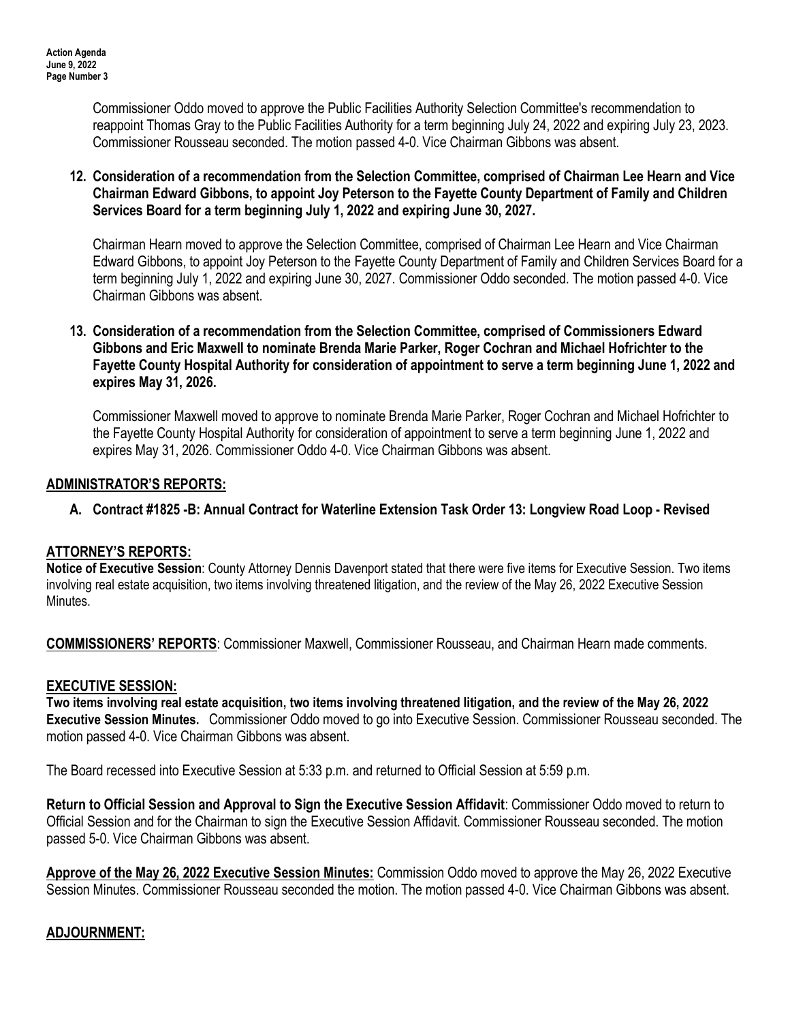Commissioner Oddo moved to approve the Public Facilities Authority Selection Committee's recommendation to reappoint Thomas Gray to the Public Facilities Authority for a term beginning July 24, 2022 and expiring July 23, 2023. Commissioner Rousseau seconded. The motion passed 4-0. Vice Chairman Gibbons was absent.

### **12. Consideration of a recommendation from the Selection Committee, comprised of Chairman Lee Hearn and Vice Chairman Edward Gibbons, to appoint Joy Peterson to the Fayette County Department of Family and Children Services Board for a term beginning July 1, 2022 and expiring June 30, 2027.**

Chairman Hearn moved to approve the Selection Committee, comprised of Chairman Lee Hearn and Vice Chairman Edward Gibbons, to appoint Joy Peterson to the Fayette County Department of Family and Children Services Board for a term beginning July 1, 2022 and expiring June 30, 2027. Commissioner Oddo seconded. The motion passed 4-0. Vice Chairman Gibbons was absent.

#### **13. Consideration of a recommendation from the Selection Committee, comprised of Commissioners Edward Gibbons and Eric Maxwell to nominate Brenda Marie Parker, Roger Cochran and Michael Hofrichter to the Fayette County Hospital Authority for consideration of appointment to serve a term beginning June 1, 2022 and expires May 31, 2026.**

Commissioner Maxwell moved to approve to nominate Brenda Marie Parker, Roger Cochran and Michael Hofrichter to the Fayette County Hospital Authority for consideration of appointment to serve a term beginning June 1, 2022 and expires May 31, 2026. Commissioner Oddo 4-0. Vice Chairman Gibbons was absent.

### **ADMINISTRATOR'S REPORTS:**

## **A. Contract #1825 -B: Annual Contract for Waterline Extension Task Order 13: Longview Road Loop - Revised**

## **ATTORNEY'S REPORTS:**

**Notice of Executive Session**: County Attorney Dennis Davenport stated that there were five items for Executive Session. Two items involving real estate acquisition, two items involving threatened litigation, and the review of the May 26, 2022 Executive Session Minutes.

**COMMISSIONERS' REPORTS**: Commissioner Maxwell, Commissioner Rousseau, and Chairman Hearn made comments.

#### **EXECUTIVE SESSION:**

**Two items involving real estate acquisition, two items involving threatened litigation, and the review of the May 26, 2022 Executive Session Minutes.** Commissioner Oddo moved to go into Executive Session. Commissioner Rousseau seconded. The motion passed 4-0. Vice Chairman Gibbons was absent.

The Board recessed into Executive Session at 5:33 p.m. and returned to Official Session at 5:59 p.m.

**Return to Official Session and Approval to Sign the Executive Session Affidavit**: Commissioner Oddo moved to return to Official Session and for the Chairman to sign the Executive Session Affidavit. Commissioner Rousseau seconded. The motion passed 5-0. Vice Chairman Gibbons was absent.

**Approve of the May 26, 2022 Executive Session Minutes:** Commission Oddo moved to approve the May 26, 2022 Executive Session Minutes. Commissioner Rousseau seconded the motion. The motion passed 4-0. Vice Chairman Gibbons was absent.

#### **ADJOURNMENT:**